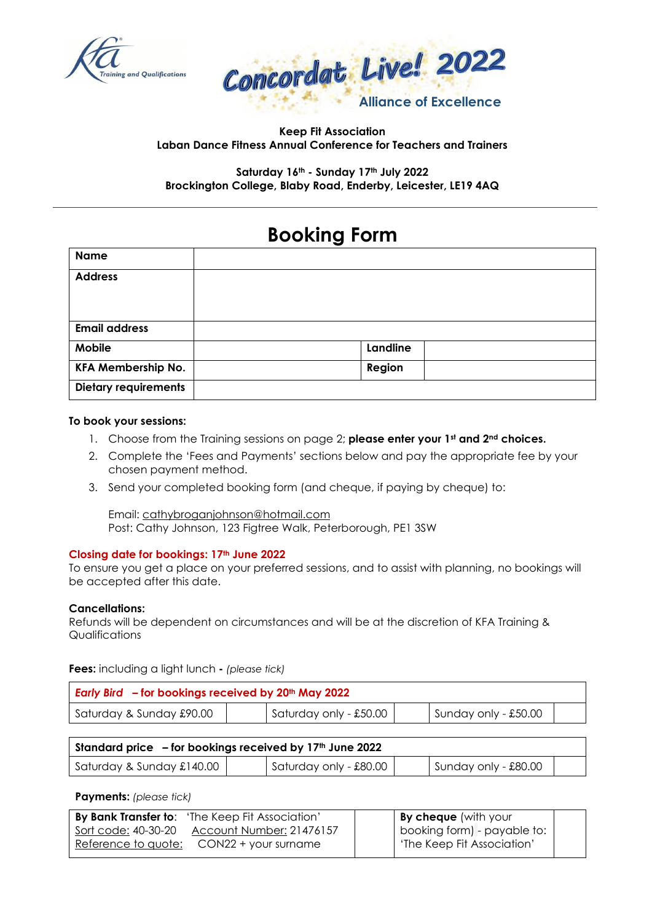



## **Keep Fit Association Laban Dance Fitness Annual Conference for Teachers and Trainers**

### **Saturday 16th - Sunday 17th July 2022 Brockington College, Blaby Road, Enderby, Leicester, LE19 4AQ**

# **Booking Form**

| <b>Name</b>                 |          |  |
|-----------------------------|----------|--|
| <b>Address</b>              |          |  |
|                             |          |  |
|                             |          |  |
| <b>Email address</b>        |          |  |
| Mobile                      | Landline |  |
| <b>KFA Membership No.</b>   | Region   |  |
| <b>Dietary requirements</b> |          |  |

#### **To book your sessions:**

- 1. Choose from the Training sessions on page 2; **please enter your 1st and 2nd choices.**
- 2. Complete the 'Fees and Payments' sections below and pay the appropriate fee by your chosen payment method.
- 3. Send your completed booking form (and cheque, if paying by cheque) to:

Email: [cathybroganjohnson@hotmail.com](mailto:cathybroganjohnson@hotmail.com)  Post: Cathy Johnson, 123 Figtree Walk, Peterborough, PE1 3SW

#### **Closing date for bookings: 17th June 2022**

To ensure you get a place on your preferred sessions, and to assist with planning, no bookings will be accepted after this date.

#### **Cancellations:**

Refunds will be dependent on circumstances and will be at the discretion of KFA Training & **Qualifications** 

**Fees:** including a light lunch **-** *(please tick)*

| <b>Early Bird</b> - for bookings received by 20 <sup>th</sup> May 2022 |  |                        |  |                      |  |
|------------------------------------------------------------------------|--|------------------------|--|----------------------|--|
| Saturday & Sunday £90.00                                               |  | Saturday only - £50.00 |  | Sunday only - £50.00 |  |

| Standard price $-$ for bookings received by 17 <sup>th</sup> June 2022 |                        |                      |  |
|------------------------------------------------------------------------|------------------------|----------------------|--|
| Saturday & Sunday £140.00                                              | Saturday only - £80.00 | Sunday only - £80.00 |  |

#### **Payments:** *(please tick)*

|                     | By Bank Transfer to: 'The Keep Fit Association' | <b>By cheque</b> (with your |  |
|---------------------|-------------------------------------------------|-----------------------------|--|
| Sort code: 40-30-20 | Account Number: 21476157                        | booking form) - payable to: |  |
| Reference to quote: | CON22 + your surname                            | 'The Keep Fit Association'  |  |